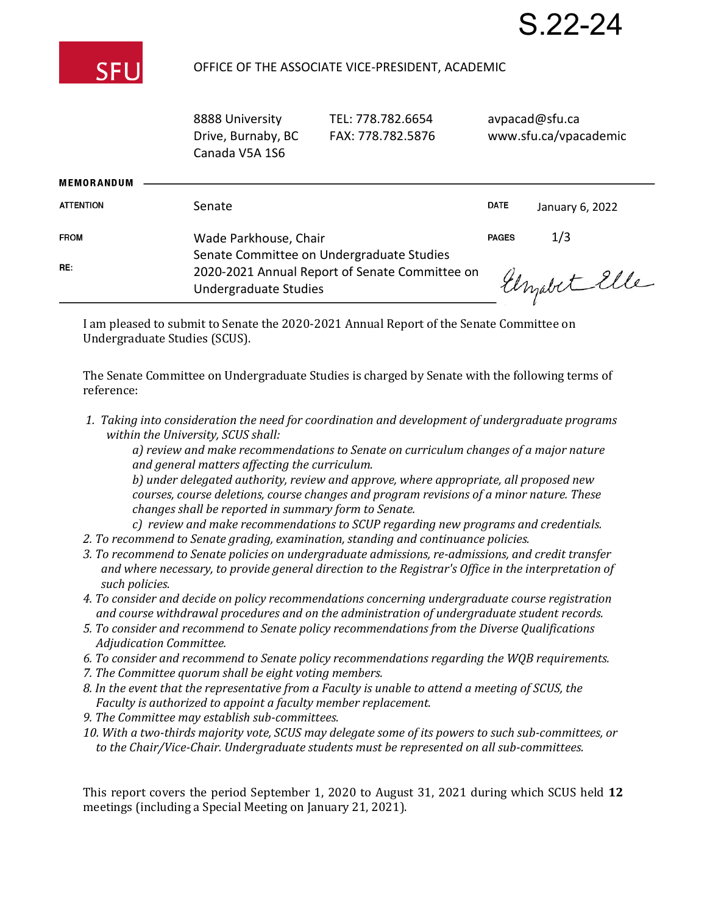

### OFFICE OF THE ASS

| SOCIATE VICE-PRESIDENT, ACADEMIC |  |
|----------------------------------|--|
|                                  |  |

avpacad@sfu.ca

S.22-24

|                   | Drive, Burnaby, BC<br>Canada V5A 1S6                                                                                 | FAX: 778.782.5876 | www.sfu.ca/vpacademic |                 |
|-------------------|----------------------------------------------------------------------------------------------------------------------|-------------------|-----------------------|-----------------|
| <b>MEMORANDUM</b> |                                                                                                                      |                   |                       |                 |
| <b>ATTENTION</b>  | Senate                                                                                                               |                   | <b>DATE</b>           | January 6, 2022 |
| <b>FROM</b>       | Wade Parkhouse, Chair                                                                                                |                   | <b>PAGES</b>          | 1/3             |
| RE:               | Senate Committee on Undergraduate Studies<br>2020-2021 Annual Report of Senate Committee on<br>Undergraduate Studies |                   |                       | Elizabet Elle   |

TEL: 778.782.6654

I am pleased to submit to Senate the 2020-2021 Annual Report of the Senate Committee on Undergraduate Studies (SCUS).

The Senate Committee on Undergraduate Studies is charged by Senate with the following terms of reference:

*1. Taking into consideration the need for coordination and development of undergraduate programs within the University, SCUS shall:*

*a) review and make recommendations to Senate on curriculum changes of a major nature and general matters affecting the curriculum.*

*b) under delegated authority, review and approve, where appropriate, all proposed new courses, course deletions, course changes and program revisions of a minor nature. These changes shall be reported in summary form to Senate.*

- *c) review and make recommendations to SCUP regarding new programs and credentials.*
- *2. To recommend to Senate grading, examination, standing and continuance policies.*
- *3. To recommend to Senate policies on undergraduate admissions, re-admissions, and credit transfer and where necessary, to provide general direction to the Registrar's Office in the interpretation of such policies.*
- *4. To consider and decide on policy recommendations concerning undergraduate course registration and course withdrawal procedures and on the administration of undergraduate student records.*
- *5. To consider and recommend to Senate policy recommendations from the Diverse Qualifications Adjudication Committee.*
- *6. To consider and recommend to Senate policy recommendations regarding the WQB requirements.*
- *7. The Committee quorum shall be eight voting members.*

8888 University

- *8. In the event that the representative from a Faculty is unable to attend a meeting of SCUS, the Faculty is authorized to appoint a faculty member replacement.*
- *9. The Committee may establish sub-committees.*
- *10. With a two-thirds majority vote, SCUS may delegate some of its powers to such sub-committees, or to the Chair/Vice-Chair. Undergraduate students must be represented on all sub-committees.*

This report covers the period September 1, 2020 to August 31, 2021 during which SCUS held **12**  meetings (including a Special Meeting on January 21, 2021).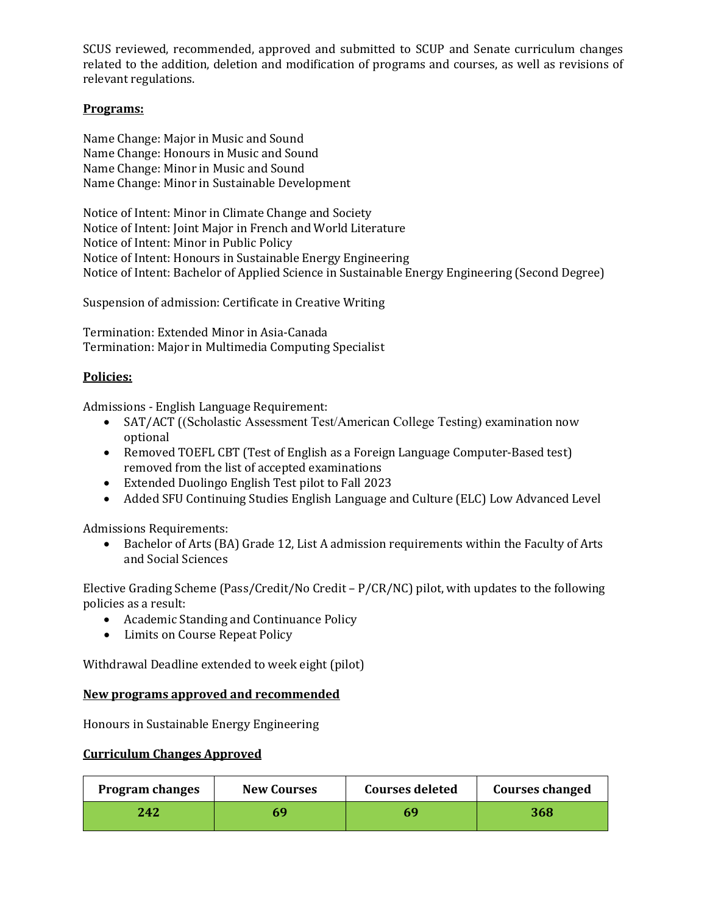SCUS reviewed, recommended, approved and submitted to SCUP and Senate curriculum changes related to the addition, deletion and modification of programs and courses, as well as revisions of relevant regulations.

# **Programs:**

Name Change: Major in Music and Sound Name Change: Honours in Music and Sound Name Change: Minor in Music and Sound Name Change: Minor in Sustainable Development

Notice of Intent: Minor in Climate Change and Society Notice of Intent: Joint Major in French and World Literature Notice of Intent: Minor in Public Policy Notice of Intent: Honours in Sustainable Energy Engineering Notice of Intent: Bachelor of Applied Science in Sustainable Energy Engineering (Second Degree)

Suspension of admission: Certificate in Creative Writing

Termination: Extended Minor in Asia-Canada Termination: Major in Multimedia Computing Specialist

# **Policies:**

Admissions - English Language Requirement:<br>• SAT/ACT ((Scholastic Assessment Tes

- SAT/ACT ((Scholastic Assessment Test/American College Testing) examination now optional
- Removed TOEFL CBT (Test of English as a Foreign Language Computer-Based test) removed from the list of accepted examinations
- Extended Duolingo English Test pilot to Fall 2023
- Added SFU Continuing Studies English Language and Culture (ELC) Low Advanced Level

Admissions Requirements:<br>• Bachelor of Arts (BA

• Bachelor of Arts (BA) Grade 12, List A admission requirements within the Faculty of Arts and Social Sciences

Elective Grading Scheme (Pass/Credit/No Credit – P/CR/NC) pilot, with updates to the following policies as a result:

- Academic Standing and Continuance Policy
- Limits on Course Repeat Policy

Withdrawal Deadline extended to week eight (pilot)

### **New programs approved and recommended**

Honours in Sustainable Energy Engineering

### **Curriculum Changes Approved**

| <b>Program changes</b> | <b>New Courses</b> | <b>Courses deleted</b> | <b>Courses changed</b> |
|------------------------|--------------------|------------------------|------------------------|
| 242                    | 69                 | 69                     | 368                    |